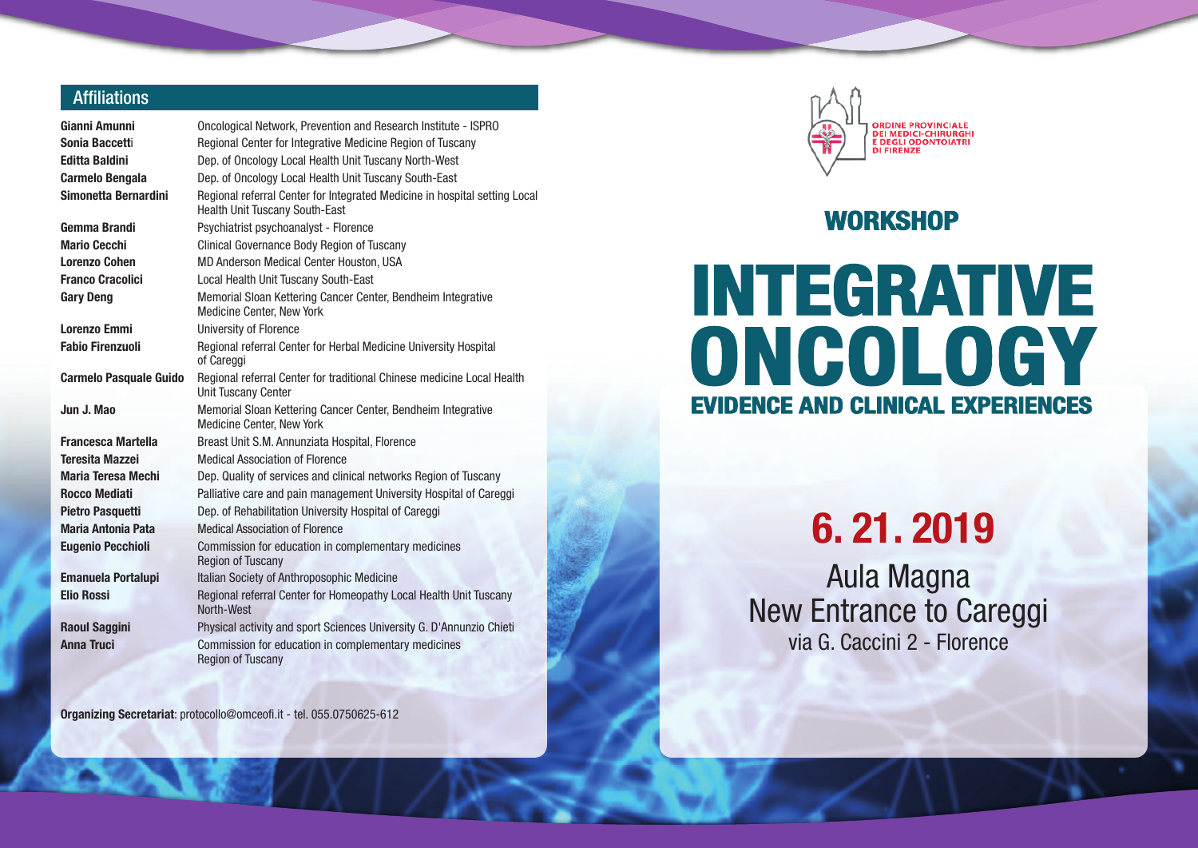## **Affiliations**

| Gianni Amunni                 | Oncological Network, Prevention and Research Institute - ISPRO                                                      |  |  |  |
|-------------------------------|---------------------------------------------------------------------------------------------------------------------|--|--|--|
| Sonia Baccetti                | Regional Center for Integrative Medicine Region of Tuscany                                                          |  |  |  |
| <b>Editta Baldini</b>         | Dep. of Oncology Local Health Unit Tuscany North-West                                                               |  |  |  |
| <b>Carmelo Bengala</b>        | Dep. of Oncology Local Health Unit Tuscany South-East                                                               |  |  |  |
| Simonetta Bernardini          | Regional referral Center for Integrated Medicine in hospital setting Local<br><b>Health Unit Tuscany South-East</b> |  |  |  |
| Gemma Brandi                  | Psychiatrist psychoanalyst - Florence                                                                               |  |  |  |
| <b>Mario Cecchi</b>           | Clinical Governance Body Region of Tuscany                                                                          |  |  |  |
| <b>Lorenzo Cohen</b>          | MD Anderson Medical Center Houston, USA                                                                             |  |  |  |
| <b>Franco Cracolici</b>       | Local Health Unit Tuscany South-East                                                                                |  |  |  |
| <b>Gary Deng</b>              | Memorial Sloan Kettering Cancer Center, Bendheim Integrative<br><b>Medicine Center, New York</b>                    |  |  |  |
| <b>Lorenzo Emmi</b>           | <b>University of Florence</b>                                                                                       |  |  |  |
| <b>Fabio Firenzuoli</b>       | Regional referral Center for Herbal Medicine University Hospital<br>of Careggi                                      |  |  |  |
| <b>Carmelo Pasquale Guido</b> | Regional referral Center for traditional Chinese medicine Local Health<br><b>Unit Tuscany Center</b>                |  |  |  |
| Jun J. Mao                    | Memorial Sloan Kettering Cancer Center, Bendheim Integrative<br><b>Medicine Center, New York</b>                    |  |  |  |
| <b>Francesca Martella</b>     | Breast Unit S.M. Annunziata Hospital, Florence                                                                      |  |  |  |
| <b>Teresita Mazzei</b>        | <b>Medical Association of Florence</b>                                                                              |  |  |  |
| Maria Teresa Mechi            | Dep. Quality of services and clinical networks Region of Tuscany                                                    |  |  |  |
| <b>Rocco Mediati</b>          | Palliative care and pain management University Hospital of Careggi                                                  |  |  |  |
| <b>Pietro Pasquetti</b>       | Dep. of Rehabilitation University Hospital of Careggi                                                               |  |  |  |
| <b>Maria Antonia Pata</b>     | <b>Medical Association of Florence</b>                                                                              |  |  |  |
| <b>Eugenio Pecchioli</b>      | Commission for education in complementary medicines<br><b>Region of Tuscany</b>                                     |  |  |  |
| <b>Emanuela Portalupi</b>     | Italian Society of Anthroposophic Medicine                                                                          |  |  |  |
| <b>Elio Rossi</b>             | Regional referral Center for Homeopathy Local Health Unit Tuscany<br>North-West                                     |  |  |  |
| <b>Raoul Saggini</b>          | Physical activity and sport Sciences University G. D'Annunzio Chieti                                                |  |  |  |
| <b>Anna Truci</b>             | Commission for education in complementary medicines<br><b>Region of Tuscany</b>                                     |  |  |  |

**Organizing Secretariat**: protocollo@omceofi.it - tel. 055.0750625-612



## **WORKSHOP**

## **INTEGRATIVE ONCOLOGY EVIDENCE AND CLINICAL EXPERIENCES**

**6. 21. 2019**

Aula Magna New Entrance to Careggi via G. Caccini 2 - Florence